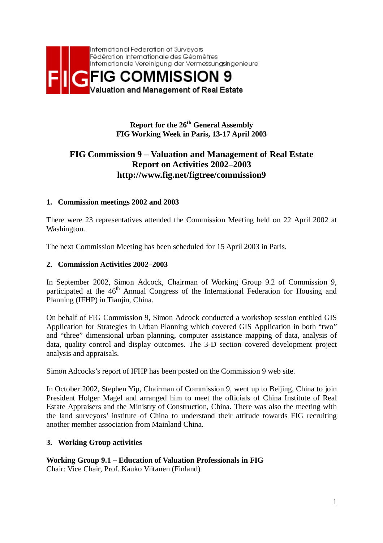

# **Report for the 26<sup>th</sup> General Assembly FIG Working Week in Paris, 13-17 April 2003**

# **FIG Commission 9 – Valuation and Management of Real Estate Report on Activities 2002–2003 http://www.fig.net/figtree/commission9**

### **1. Commission meetings 2002 and 2003**

There were 23 representatives attended the Commission Meeting held on 22 April 2002 at Washington.

The next Commission Meeting has been scheduled for 15 April 2003 in Paris.

### **2. Commission Activities 2002–2003**

In September 2002, Simon Adcock, Chairman of Working Group 9.2 of Commission 9, participated at the 46<sup>th</sup> Annual Congress of the International Federation for Housing and Planning (IFHP) in Tianjin, China.

On behalf of FIG Commission 9, Simon Adcock conducted a workshop session entitled GIS Application for Strategies in Urban Planning which covered GIS Application in both "two" and "three" dimensional urban planning, computer assistance mapping of data, analysis of data, quality control and display outcomes. The 3-D section covered development project analysis and appraisals.

Simon Adcocks's report of IFHP has been posted on the Commission 9 web site.

In October 2002, Stephen Yip, Chairman of Commission 9, went up to Beijing, China to join President Holger Magel and arranged him to meet the officials of China Institute of Real Estate Appraisers and the Ministry of Construction, China. There was also the meeting with the land surveyors' institute of China to understand their attitude towards FIG recruiting another member association from Mainland China.

### **3. Working Group activities**

**Working Group 9.1 – Education of Valuation Professionals in FIG** 

Chair: Vice Chair, Prof. Kauko Viitanen (Finland)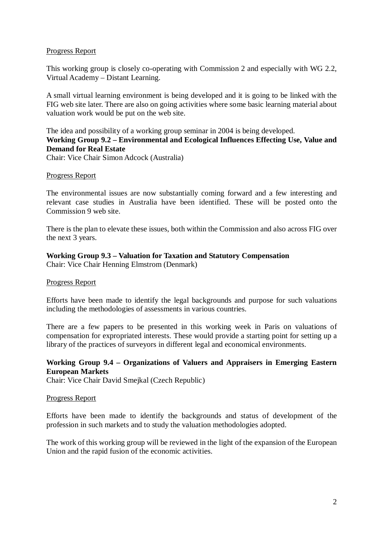### Progress Report

This working group is closely co-operating with Commission 2 and especially with WG 2.2, Virtual Academy – Distant Learning.

A small virtual learning environment is being developed and it is going to be linked with the FIG web site later. There are also on going activities where some basic learning material about valuation work would be put on the web site.

## The idea and possibility of a working group seminar in 2004 is being developed. **Working Group 9.2 – Environmental and Ecological Influences Effecting Use, Value and Demand for Real Estate**

Chair: Vice Chair Simon Adcock (Australia)

### Progress Report

The environmental issues are now substantially coming forward and a few interesting and relevant case studies in Australia have been identified. These will be posted onto the Commission 9 web site.

There is the plan to elevate these issues, both within the Commission and also across FIG over the next 3 years.

### **Working Group 9.3 – Valuation for Taxation and Statutory Compensation**

Chair: Vice Chair Henning Elmstrom (Denmark)

### Progress Report

Efforts have been made to identify the legal backgrounds and purpose for such valuations including the methodologies of assessments in various countries.

There are a few papers to be presented in this working week in Paris on valuations of compensation for expropriated interests. These would provide a starting point for setting up a library of the practices of surveyors in different legal and economical environments.

### **Working Group 9.4 – Organizations of Valuers and Appraisers in Emerging Eastern European Markets**

Chair: Vice Chair David Smejkal (Czech Republic)

### Progress Report

Efforts have been made to identify the backgrounds and status of development of the profession in such markets and to study the valuation methodologies adopted.

The work of this working group will be reviewed in the light of the expansion of the European Union and the rapid fusion of the economic activities.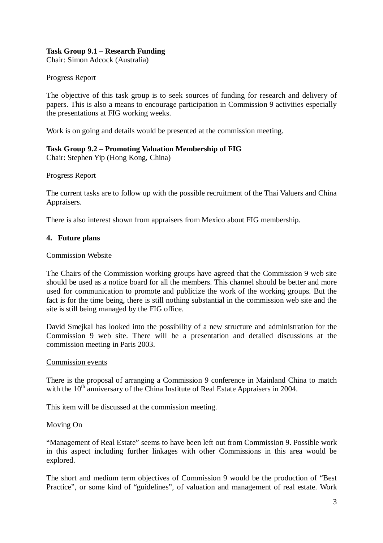### **Task Group 9.1 – Research Funding**

Chair: Simon Adcock (Australia)

### Progress Report

The objective of this task group is to seek sources of funding for research and delivery of papers. This is also a means to encourage participation in Commission 9 activities especially the presentations at FIG working weeks.

Work is on going and details would be presented at the commission meeting.

### **Task Group 9.2 – Promoting Valuation Membership of FIG**

Chair: Stephen Yip (Hong Kong, China)

### Progress Report

The current tasks are to follow up with the possible recruitment of the Thai Valuers and China Appraisers.

There is also interest shown from appraisers from Mexico about FIG membership.

### **4. Future plans**

### Commission Website

The Chairs of the Commission working groups have agreed that the Commission 9 web site should be used as a notice board for all the members. This channel should be better and more used for communication to promote and publicize the work of the working groups. But the fact is for the time being, there is still nothing substantial in the commission web site and the site is still being managed by the FIG office.

David Smejkal has looked into the possibility of a new structure and administration for the Commission 9 web site. There will be a presentation and detailed discussions at the commission meeting in Paris 2003.

### Commission events

There is the proposal of arranging a Commission 9 conference in Mainland China to match with the  $10<sup>th</sup>$  anniversary of the China Institute of Real Estate Appraisers in 2004.

This item will be discussed at the commission meeting.

### Moving On

"Management of Real Estate" seems to have been left out from Commission 9. Possible work in this aspect including further linkages with other Commissions in this area would be explored.

The short and medium term objectives of Commission 9 would be the production of "Best Practice", or some kind of "guidelines", of valuation and management of real estate. Work